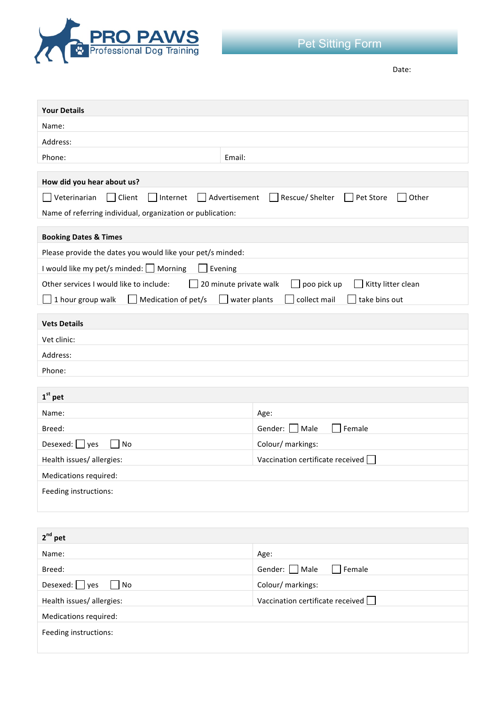

Date: 

| <b>Your Details</b>                                                                                    |                                    |  |  |
|--------------------------------------------------------------------------------------------------------|------------------------------------|--|--|
| Name:                                                                                                  |                                    |  |  |
| Address:                                                                                               |                                    |  |  |
| Phone:<br>Email:                                                                                       |                                    |  |  |
| How did you hear about us?                                                                             |                                    |  |  |
| Veterinarian<br>Client<br>Advertisement<br>Rescue/ Shelter<br>Pet Store<br>Internet<br>Other           |                                    |  |  |
| Name of referring individual, organization or publication:                                             |                                    |  |  |
| <b>Booking Dates &amp; Times</b>                                                                       |                                    |  |  |
| Please provide the dates you would like your pet/s minded:                                             |                                    |  |  |
| I would like my pet/s minded: Morning<br>Evening                                                       |                                    |  |  |
| Other services I would like to include:<br>20 minute private walk<br>poo pick up<br>Kitty litter clean |                                    |  |  |
| 1 hour group walk<br>Medication of pet/s<br>collect mail<br>take bins out<br>water plants              |                                    |  |  |
|                                                                                                        |                                    |  |  |
| <b>Vets Details</b><br>Vet clinic:                                                                     |                                    |  |  |
| Address:                                                                                               |                                    |  |  |
| Phone:                                                                                                 |                                    |  |  |
|                                                                                                        |                                    |  |  |
| $1st$ pet                                                                                              |                                    |  |  |
| Name:                                                                                                  | Age:                               |  |  |
| Breed:                                                                                                 | Gender: ■ Male<br>Female           |  |  |
| Desexed: $\Box$ yes<br>No                                                                              | Colour/ markings:                  |  |  |
| Health issues/allergies:                                                                               | Vaccination certificate received   |  |  |
| Medications required:                                                                                  |                                    |  |  |
| Feeding instructions:                                                                                  |                                    |  |  |
|                                                                                                        |                                    |  |  |
|                                                                                                        |                                    |  |  |
| $2^{nd}$ pet                                                                                           |                                    |  |  |
| Name:                                                                                                  | Age:                               |  |  |
| Breed:                                                                                                 | Female<br>Gender: Male             |  |  |
| Desexed: $\Box$ yes<br>No                                                                              | Colour/ markings:                  |  |  |
| Health issues/allergies:                                                                               | Vaccination certificate received [ |  |  |
| Medications required:                                                                                  |                                    |  |  |
| Feeding instructions:                                                                                  |                                    |  |  |
|                                                                                                        |                                    |  |  |